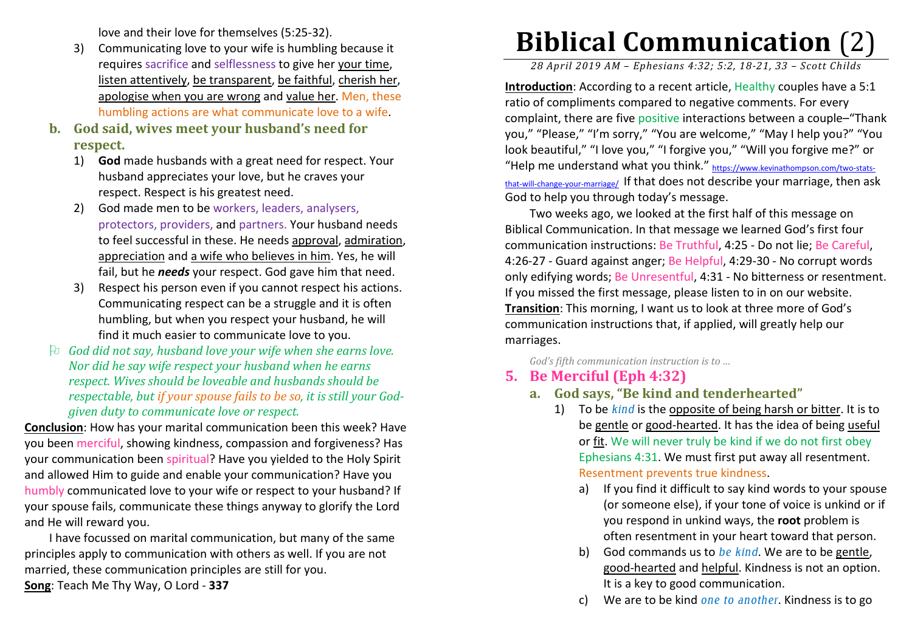love and their love for themselves (5:25-32).

- 3) Communicating love to your wife is humbling because it requires sacrifice and selflessness to give her your time, listen attentively, be transparent, be faithful, cherish her, apologise when you are wrong and value her. Men, these humbling actions are what communicate love to a wife.
- **b. God said, wives meet your husband's need for respect.** 
	- 1) **God** made husbands with a great need for respect. Your husband appreciates your love, but he craves your respect. Respect is his greatest need.
	- 2) God made men to be workers, leaders, analysers, protectors, providers, and partners. Your husband needs to feel successful in these. He needs approval, admiration, appreciation and a wife who believes in him. Yes, he will fail, but he *needs* your respect. God gave him that need.
	- 3) Respect his person even if you cannot respect his actions. Communicating respect can be a struggle and it is often humbling, but when you respect your husband, he will find it much easier to communicate love to you.
- *God did not say, husband love your wife when she earns love. Nor did he say wife respect your husband when he earns respect. Wives should be loveable and husbands should be respectable, but if your spouse fails to be so, it is still your Godgiven duty to communicate love or respect.*

**Conclusion**: How has your marital communication been this week? Have you been merciful, showing kindness, compassion and forgiveness? Has your communication been spiritual? Have you yielded to the Holy Spirit and allowed Him to guide and enable your communication? Have you humbly communicated love to your wife or respect to your husband? If your spouse fails, communicate these things anyway to glorify the Lord and He will reward you.

 I have focussed on marital communication, but many of the same principles apply to communication with others as well. If you are not married, these communication principles are still for you.

**Song**: Teach Me Thy Way, O Lord - **337**

# **Biblical Communication** (2)

*28 April 2019 AM – Ephesians 4:32; 5:2, 18-21, 33 – Scott Childs* 

**Introduction:** According to a recent article, Healthy couples have a 5:1 ratio of compliments compared to negative comments. For every complaint, there are five positive interactions between a couple–"Thank you," "Please," "I'm sorry," "You are welcome," "May I help you?" "You look beautiful," "I love you," "I forgive you," "Will you forgive me?" or "Help me understand what you think." https://www.kevinathompson.com/two-statsthat-will-change-your-marriage/ If that does not describe your marriage, then ask God to help you through today's message.

Two weeks ago, we looked at the first half of this message on Biblical Communication. In that message we learned God's first four communication instructions: Be Truthful, 4:25 - Do not lie; Be Careful, 4:26-27 - Guard against anger; Be Helpful, 4:29-30 - No corrupt words only edifying words; Be Unresentful, 4:31 - No bitterness or resentment. If you missed the first message, please listen to in on our website. **Transition**: This morning, I want us to look at three more of God's communication instructions that, if applied, will greatly help our marriages.

*God's fifth communication instruction is to …* 

## **5. Be Merciful (Eph 4:32)**

- **a. God says, "Be kind and tenderhearted"** 
	- 1) To be *kind* is the opposite of being harsh or bitter. It is tobe gentle or good-hearted. It has the idea of being <u>useful</u> or fit. We will never truly be kind if we do not first obey Ephesians 4:31. We must first put away all resentment. Resentment prevents true kindness.
		- a) If you find it difficult to say kind words to your spouse (or someone else), if your tone of voice is unkind or if you respond in unkind ways, the **root** problem is often resentment in your heart toward that person.
		- b) God commands us to *be kind*. We are to be gentle, good-hearted and helpful. Kindness is not an option. It is a key to good communication.
		- c)We are to be kind *one to another*. Kindness is to go